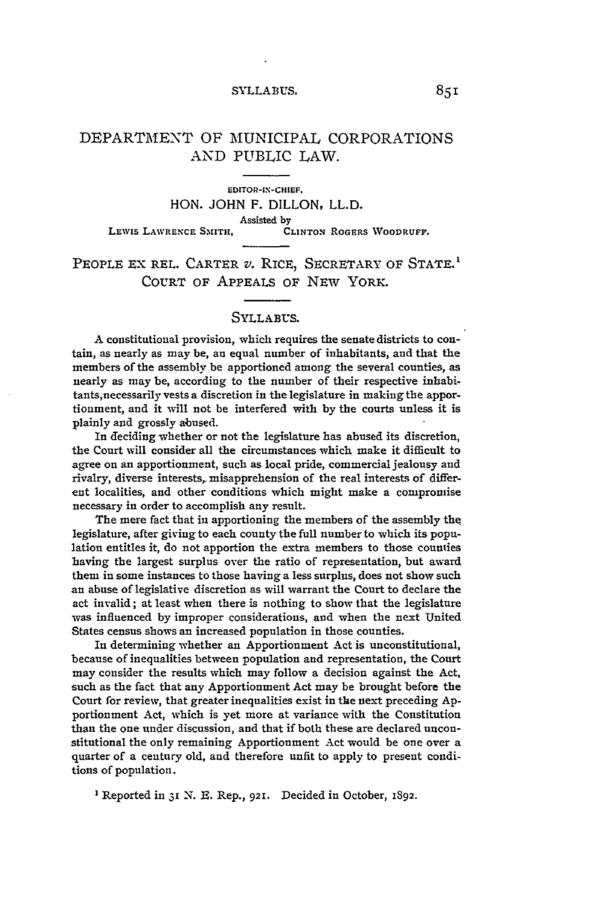# DEPARTMENT OF MUNICIPAL CORPORATIONS AND PUBLIC LAW.

**EDITOR-IN-CHIEF,** HON. JOHN F. DILLON, LL.D. Assisted by LEWIS LAWRENCE SMITH. CLINTON ROGERS WOODRUFF.

PEOPLE EX REL. CARTER **V.** RICE, SECRETARY OF STATE.' COURT OF APPEALS OF NEW YORK.

### SYLLABUS.

A constitutional provision, which requires the senate districts to contain, as nearly as may be, an equal number of inhabitants, and that the members of the assembly be apportioned among the several counties, as nearly as may be, according to the number of their respective inhabitants, necessarily vests a discretion in the legislature in making the apportionment, and it will not be interfered with by the courts unless it is plainly and grossly abused.

In deciding whether or not the legislature has abused its discretion, the Court will consider all the circumstances which make it difficult to agree on an apportionment, such as local pride, commercial jealousy and rivalry, diverse interests, misapprehension of the real interests of different localities, and other conditions which might make a compromise necessary in order to accomplish any result.

The mere fact that in apportioning the members of the assembly the legislature, after giving to each county the full number to which its population entitles it, do not apportion the extra members to those counties having the largest surplus over the ratio of representation, but award them in some instances to those having a less surplus, does not show such an abuse of legislative discretion as will warrant the Court to declare the act invalid; at least when there is nothing to show that the legislature was influenced **by** improper considerations, and when the next United States census shows an increased population in those counties.

In determining whether an Apportionment Act is unconstitutional, because of inequalities between population and representation, the Court may consider the results which may follow a decision against the Act, such as the fact that any Apportionment Act may be brought before the Court for review, that greater inequalities exist in the next preceding Apportionment Act, which is yet more at variance with the Constitution than the one under discussion, and that if both these are declared unconstitutional the only remaining Apportionment Act would be one over a quarter of a century old, and therefore unfit to apply to present conditions of population.

IReported in **31** N. E. Rep., **921.** Decided in October, 1892.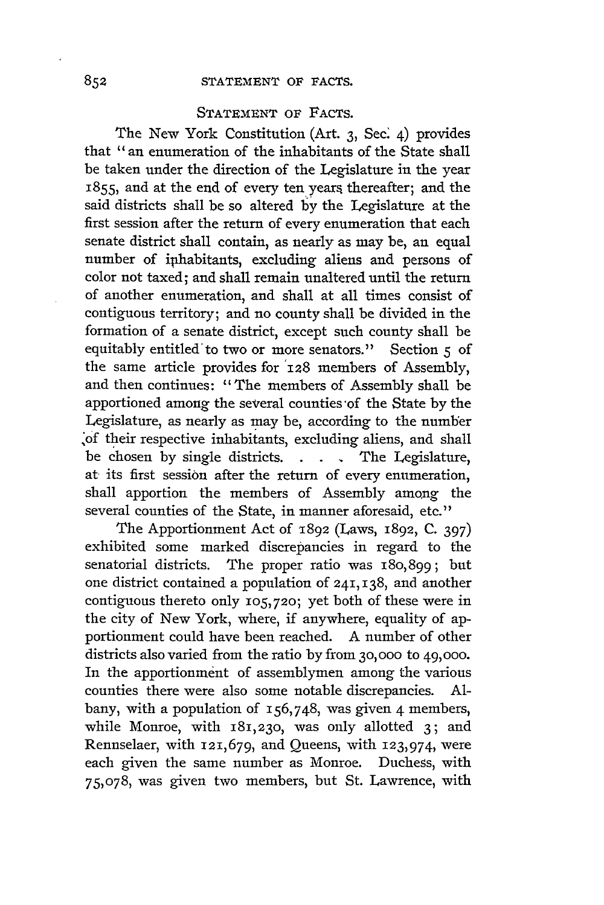## **STATEMENT** OF **FACTS.**

The New York Constitution (Art. 3, Sec. 4) provides that "an enumeration of the inhabitants of the State shall be taken under the direction of the Legislature in the year 1855, and at the end of every ten yearq thereafter; and the said districts shall be so altered by the Legislature at the first session after the return of every enumeration that each senate district shall contain, as nearly as may be, an equal number of iphabitants, excluding aliens and persons of color not taxed; and shall remain unaltered until the return of another enumeration, and shall at all times consist of contiguous territory; and no county shall be divided in the formation of a senate district, except such county shall be equitably entitled'to two or more senators." Section *5* of the same article provides for 128 members of Assembly, and then continues: "The members of Assembly shall be apportioned among the several counties of the State by the Legislature, as nearly as may be, according to the number ,of their respective inhabitants, excluding aliens, and shall be chosen by single districts. **. . .** The Legislature, at its first session after the return of every enumeration, shall apportion the members of Assembly among the several counties of the State, in manner aforesaid, etc."

The Apportionment Act of **1892** (Laws, 1892, C. 397) exhibited some marked discrepancies in regard to the senatorial districts. The proper ratio was 180,899; but one district contained a population of 241, **138,** and another contiguous thereto only 105,720; yet both of these were in the city of New York, where, if anywhere, equality of apportionment could have been reached. A number of other districts also varied from the ratio by from **30, 000** to **49,000.** In the apportionment of assemblymen among the various counties there were also some notable discrepancies. Albany, with a population of 156,748, was given 4 members, while Monroe, with 181,230, was only allotted 3; and Rennselaer, with 121,679, and Queens, with 123,974, were each given the same number as Monroe. Duchess, with **75,078,** was given two members, but St. Lawrence, with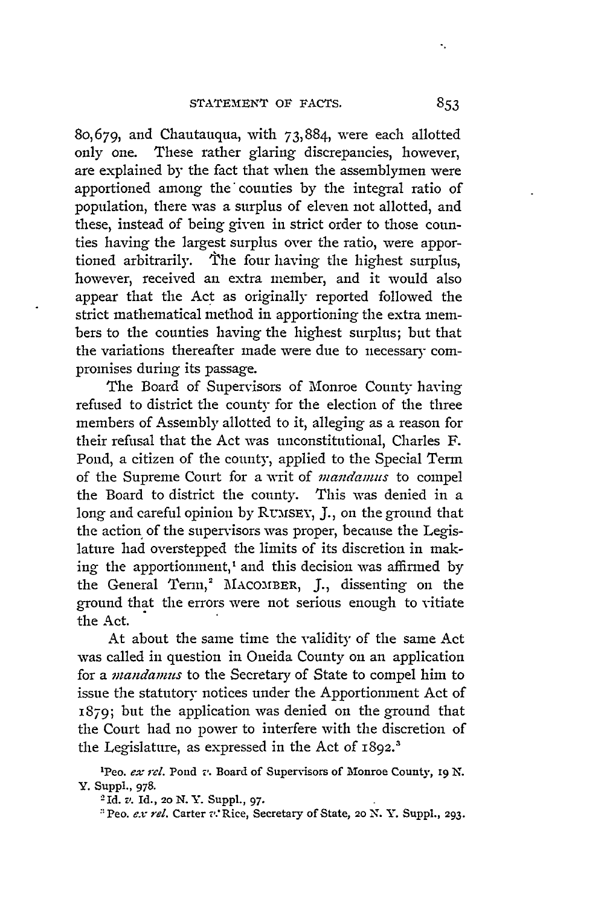8o,679, and Chautauqua, with 73,884, were each allotted only one. These rather glaring discrepancies, however, are explained by the fact that when the assemblymen were apportioned among the' counties by the integral ratio of population, there was a surplus of eleven not allotted, and these, instead of being given in strict order to those counties having the largest surplus over the ratio, were apportioned arbitrarily. The four having the highest surplus, however, received an extra member, and it would also appear that the Act as originally reported followed the strict mathematical method in apportioning the extra members to the counties having the highest surplus; but that the variations thereafter made were due to necessary compromises during its passage.

The Board of Supervisors of Monroe County having refused to district the county for the election of the three members of Assembly allotted to it, alleging as a reason for their refusal that the Act was unconstitutional, Charles F. Pond, a citizen of the county, applied to the Special Term of the Supreme Court for a writ of *mandanmus* to compel the Board to district the county. This was denied in a long and careful opinion by RUMSEY, J., on the ground that the action of the supervisors was proper, because the Legislature had overstepped the limits of its discretion in making the apportionment,' and this decision was affirmed by the General Term,<sup>2</sup> MACOMBER, J., dissenting on the ground that the errors were not serious enough to vitiate the Act.

At about the same time the validity of the same Act was called in question in Oneida County on an application for a *mandamus* to the Secretary of State to compel him to issue the statutory notices under the Apportionment Act of **1879;** but the application was denied on the ground that the Court had no power to interfere with the discretion of the Legislature, as expressed in the Act of 1892. '

*<sup>&#</sup>x27;Peo.* **ex** *rel.* Pond *z'.* Board of Supervisors of Monroe County, **19 N. Y. Suppl., 978. <sup>2</sup>**Id. **v.** Id., 2o **N.** Y. Suppl., **97.**

**<sup>:</sup>** Peo. **ex** *rel.* Carter **v.'** Rice, Secretary of State, **20 N.** Y. **SuppL, 293.**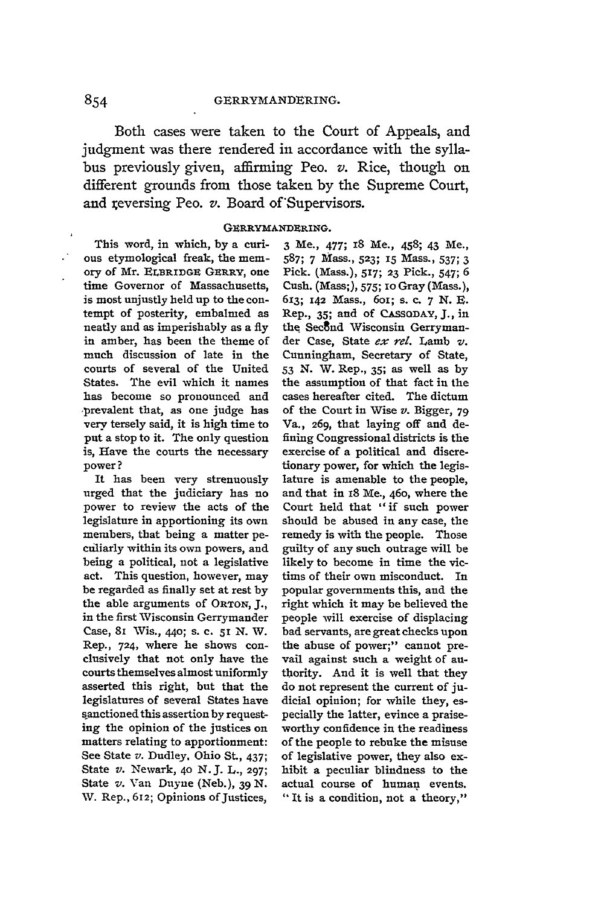Both cases were taken to the Court of Appeals, and judgment was there rendered in accordance with the syllabus previously given, affirming Peo. v. Rice, though on different grounds from those taken by the Supreme Court, and reversing Peo. v. Board of Supervisors.

#### **GERRYMANDERING.**

This word, in which, by a curious etymological freak, the memory of Mr. ELBRIDGE GERRY, one time Governor of Massachusetts, is most unjustly held up to the contempt of posterity, embalmed as neatly and as imperishably as a **fly** in amber, has been the theme of much discussion of late in the courts of several of the United States. The evil which it names has become so pronounced and ,prevalent that, as one judge has very tersely said, it is high time to put a stop to it. The only question is, Have the courts the necessary power?

It has been very strenuously urged that the judiciary has no power to review the acts of the legislature in apportioning its own members, that being a matter peculiarly within its own powers, and being a political, not a legislative act. This question, however, may be regarded as finally set at rest by the able arguments of ORTON, **J.,** in the first Wisconsin Gerrymander Case, 81 Wis., *44o;* s. **c.** 5i **N. W.** Rep., 724, where he shows conclusively that not only have the courts themselves almost uniformly asserted this right, but that the legislatures of several States have sanctioned this assertion by requesting the opinion of the justices on matters relating to apportionment: See State *v.* Dudley, Ohio **St,** 437; State *v.* Newark, **4o** N.J. L., **297;** State v. Van Duyne (Neb.), 39 N. W. Rep., 612; Opinions of Justices,

3 Me., 477; 18 Me., 458; 43 Me., 587; 7 Mass., **523; 15** Mass., 537; 3 Pick. (Mass.), 517; **23** Pick., 547; 6 Cush. (Mass;), 575; io Gray (Mass.), **613; 142** Mass., 6oi; s. c. 7 N. B. Rep., 35; and of **CASSODAY,** J., in the Sec8nd Wisconsin Gerrymander Case, State *ex rel.* Lamb v. Cunningham, Secretary of State, *53* N. W. Rep., **35;** as well as by the assumption of that fact in the cases hereafter cited. The dictum of the Court in Wise *v.* Bigger, 79 Va., 269, that laying off and defining Congressional districts is the exercise of a political and discretionary power, for which the legislature is amenable to the people, and that in 18 Me., 460, where the Court held that "if such power should be abused in any case, the remedy is with the people. Those guilty of any such outrage will be likely to become in time the victims of their own misconduct. In popular governments this, and the right which it may be believed the people will exercise of displacing bad servants, are great checks upon the abuse of power;" cannot prevail against such a weight of authority. And it is well that they do not represent the current of judicial opinion; for while they, especially the latter, evince a praiseworthy confidence in the readiness of the people to rebuke the misuse of legislative power, they also exhibit a peculiar blindness to the actual course of human events. "It is a condition, not a theory,"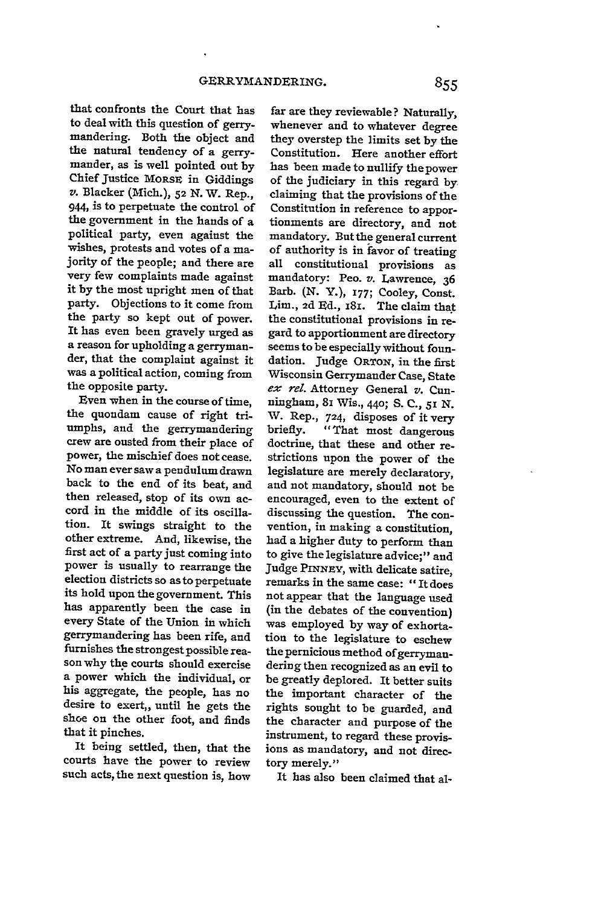that confronts the Court that has to deal with this question of gerrymandering. Both the object and the natural tendency of a gerrymander, as is well pointed out **by** Chief Justice MORSE in Giddings *v.* Blacker (Mich.), **52 N.** W. Rep., 944, is to perpetuate the control of the government in the hands of a political party, even against the wishes, protests and votes of a majority of the people; and there are very few complaints made against it **by** the most upright men of that party. Objections to it come from the party so kept out of power. It has even been gravely urged as a reason for upholding a gerrymander, that the complaint against it was a political action, coming from the opposite party.

Even when in the course of time, the quondam cause of right triumphs, and the gerrymandering crew are ousted from their place of power, the mischief does not cease. No man ever saw a pendulum drawn back to the end of its beat, and then released, stop of its own accord in the middle of its oscillation. It swings straight to the other extreme. And, likewise, the first act of a party just coming into power is usually to rearrange the election districts so as to perpetuate its hold upon the government. This has apparently been the case in every State of the Union in which gerrymandering has been rife, and furnishes the strongest possible reason why the courts should exercise a power which the individual, or his aggregate, the people, has no desire to exert,, until he gets the shoe on the other foot, and finds that it pinches.

It being settled, then, that the courts have the power to review such acts, the next question is, how

far are they reviewable ? Naturally, whenever and to whatever degree they overstep the limits set **by** the Constitution. Here another effort has been made to nullify the power of the judiciary in this regard by claiming that the provisions of the Constitution in reference to apportionments are directory, and not mandatory. But the general current of authority is in favor of treating all constitutional provisions as mandatory: Peo. *v.* Lawrence, 36 Barb. **(N.** Y.), 177; Cooley, Const. Lim., **2d** Ed., i8I. The claim that the constitutional provisions in regard to apportionment are directory seems to be especially without foundation. Judge ORTON, in the first Wisconsin Gerrymander Case, State *ex rel.* Attorney General v. Cunningham, 81 Wis., 440; **S. C.,** 51 N. W. Rep., 724, disposes of it very briefly. "That most dangerous doctrine, that these and other restrictions upon the power of the legislature are merely declaratory, and not mandatory, should not be encouraged, even to the extent of discussing the question. The convention, in making a constitution, had a higher duty to perform than to give the legislature advice;" and Judge PiNNEY, with delicate satire, remarks in the same case: "It does not appear that the language used (in the debates of the convention) was employed by way of exhortation to the legislature to eschew the pernicious method ofgerrymandering then recognized as an evil to be greatly deplored. It better suits the important character of the rights sought to be guarded, and the character and purpose of the instrument, to regard these provisions as mandatory, and not directory merely."

It has also been claimed that al-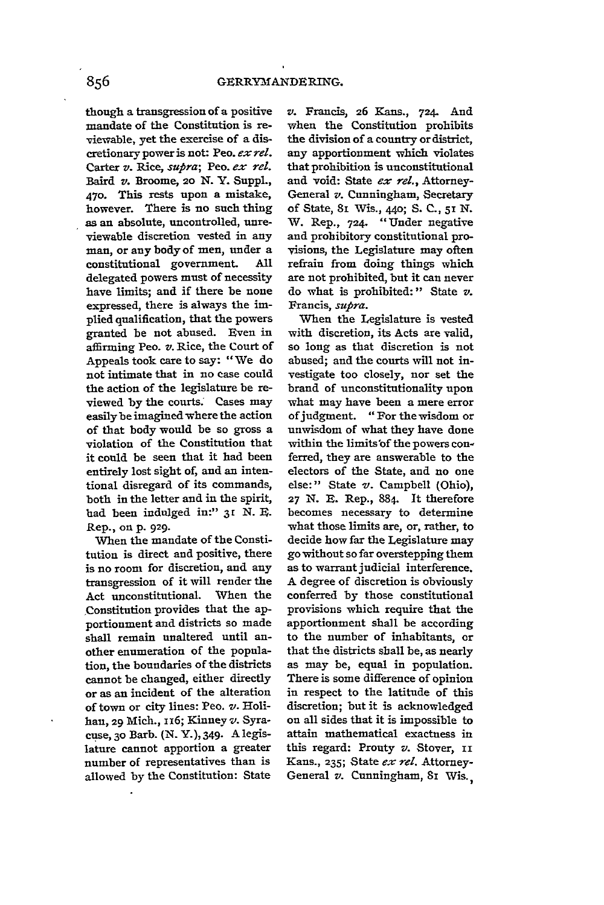though a transgression of a positive mandate of the Constitution is reviewable, yet the exercise of a discretionary power is not: Peo. *ex rel.* Carter *v. Rice, supra;* Peo. *ex rel.* Baird *v.* Broome, **2o** N. Y. Suppl., **470.** This rests upon a mistake, however. There is no such thing as an absolute, uncontrolled, unreviewable discretion vested in any man, or any body of men, under a constitutional government. **All** delegated powers must of necessity have limits; and if there be none expressed, there is always the implied qualification, that the powers granted be not abused. Even in affirming Peo. v. Rice, the Court of Appeals took care to say: "We do not intimate that in no case could the action of the legislature be reviewed **by** the courts: Cases may easily be imagined where the action of that body would be so gross a violation of the Constitution that it could be seen that it had been entirely lost sight of, and an intentional disregard of its commands, both in the letter and in the spirit, had been indulged in:" 31 **N.** . Rep., on p. **929.**

When the mandate of the Constitution is direct and positive, there is no room for discretion, and any transgression of it will render the Act unconstitutional. When the Constitution provides that the apportionment and districts so made shall remain unaltered until another enumeration of the population, the boundaries of the districts cannot be changed, either directly or as an incident of the alteration of town or city lines: Peo. v. Holihan, 29 Mich., 116; Kinney v. Syracuse, **30** Barb. **(N.** Y.), 349. A legislature cannot apportion a greater number of representatives than is allowed **by** the Constitution: State

*v.* Francis, **26** Kans., **724.** And when the Constitution prohibits the division of a country or district, any apportionment which violates that prohibition is unconstitutional and void: State *ex rel.,* Attorney-General v. Cunningham, Secretary of State, 81 Wis., **440; S. C.,** 51 N. W. Rep., **724.** "Under negative and prohibitory constitutional provisions, the Legislature may often refrain from doing things which are not prohibited, but it can never do what is prohibited:" State v. Francis, *supra.*

When the Legislature is vested with discretion, its Acts are valid, so long as that discretion is not abused; and the courts will not investigate too closely, nor set the brand of unconstitutionality upon what may have been a mere error of judgment. "For the wisdom or unwisdom of what they have done within the limits'of the powers conferred, they are answerable to the electors of the State, and no one else:" State v. Campbell (Ohio), **27** N. **R.** Rep., 884. It therefore becomes necessary to determine what those limits are, or, rather, to decide how far the Legislature may go without so far overstepping them as to warrant judicial interference. A degree of discretion is obviously conferred **by** those constitutional provisions which require that the apportionment shall be according to the number of inhabitants, or that the districts shall be, as nearly as may be, equal in population. There is some difference of opinion in respect to the latitude of this discretion; but it is acknowledged on all sides that it is impossible to attain mathematical exactness in this regard: Prouty v. Stover, **II** Kans., **235;** State *ex rel.* Attorney-General v. Cunningham, **8I** Wis.,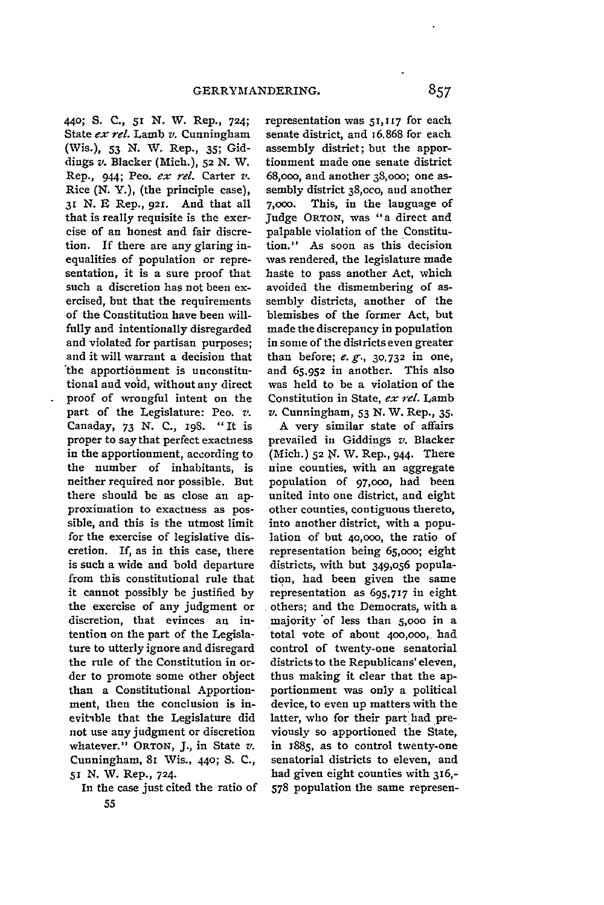440; **S. C.,** *5i* **N.** W. Rep., **724;** State *ex rel.* Lamb *v.* Cunningham (Wis.), **53 N.** W. Rep., **35;** Giddings *v.* Blacker (Mich.), **52 N.** W. Rep., 944; Peo. *ex rel.* Carter *v.* Rice **(N.** Y.), (the principle case), *31* **N.** E Rep., **921. And** that all that is really requisite is the exercise of an honest and fair discretion. **If** there are any glaring inequalities of population or representation, it is a sure proof that such a discretion has not been exercised, but that the requirements of the Constitution have been willfully and intentionally disregarded and violated for partisan purposes; and it will warrant a decision that **the** apportionment is unconstitutional and vold, without any direct proof of wrongful intent on the part of the Legislature: Peo. *z:* Canaday, **73 N. C.,** 198. "It is proper to say that perfect exactness in the apportionment, according to the number of inhabitants, is neither required nor possible. But there should be as close an approxinmation to exactness as possible, and this is the utmost limit for the exercise of legislative discretion. If, as in this case, there is such a wide and bold departure from this constitutional rule that it cannot possibly be justified by the exercise of any judgment or discretion, that evinces an intention on the part of the Legislature to utterly ignore and disregard the rule of the Constitution in order to promote some other object than a Constitutional Apportionment, then the conclusion is inevitible that the Legislature did not use any judgment or discretion whatever." ORTON, J., in State  $v$ . Cunningham, **81** Wis., 440; S. C., **51** N. W. Rep., **724.**

In the case just cited the ratio of *55*

representation was **51,117** for each senate district, and 16.868 for each assembly district; but the apportionment made one senate district 68,ooo, and another 38,ooo; one assembly district **38,oco,** and another **7,ooo.** This, in the language of Judge **ORTON,** was "a direct and palpable violation of the Constitution." As soon as this decision was rendered, the legislature made haste to pass another Act, which avoided the dismembering of assembly districts, another of the blemishes of the former Act, but made the discrepancy in population in some of the districts even greater than before; *e.g.,* **30,732** in one, and **65.952** in another. This also was held to be a violation of the Constitution in State, *ex rel.* Lamb *v.* Cunningham, **53** N. **V.** Rep., **35.**

A very similar state of affairs prevailed in Giddings *v.* Blacker (Mich.) 52 N. W. Rep., 944. There nine counties, with an aggregate population of 97,ooo, had been united into one district, and eight other counties, contiguous thereto, into another district, with a population of but **40,00,** the ratio of representation being 65,ooo; eight districts, with but **349,056** population, had been given the same representation as 695,717 in eight others; and the Democrats, with a majority 'of less than **5,000** in a total vote of about 4oo,ooo, had control of twenty-one senatorial districts to the Republicans' eleven, thus making it clear that the apportionment was only a political device, to even up matters with the latter, who for their part had previously so apportioned the State, in **j885,** as to control twenty-one senatorial districts to eleven, and had given eight counties with 316,- **578** population the same represen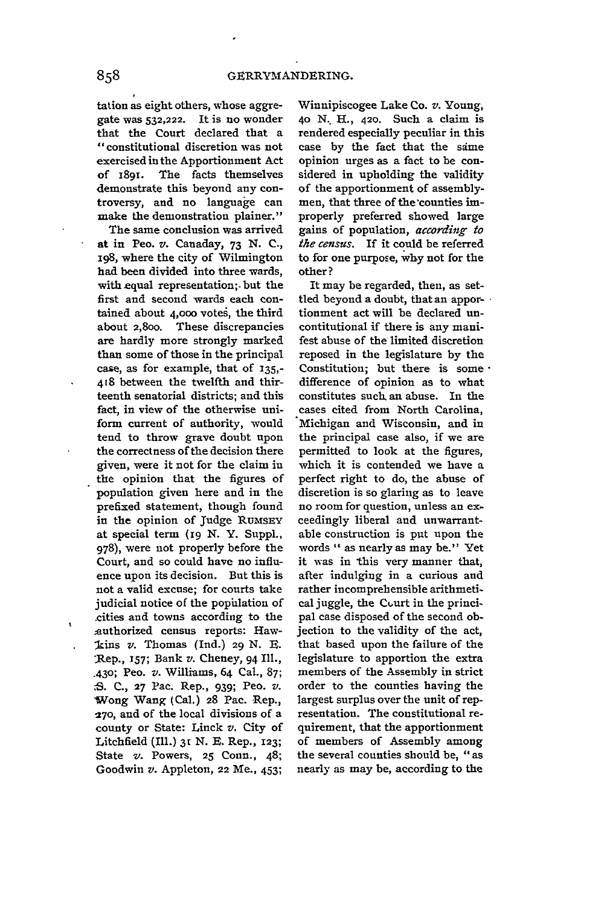tation as eight others, whose aggregate was **532,222.** It is no wonder that the Court declared that a *"* constitutional discretion was not exercised in the Apportionment Act of i891. The facts themselves demonstrate this beyond any controversy, and no language can make the demonstration plainer."

The same conclusion was arrived at in Peo. *v.* Cauaday, 73 N. C., 198, where the city of Wilmington had been divided into three wards, with equal representation;. but the first and second wards each contained about 4,000 votes, the third about 2,8oo. These discrepancies are hardly more strongly marked than some of those in the principal case, as for example, that of 135,- 418 between the twelfth and thirteenth senatorial districts; and this fact, in view of the otherwise uniform current of authority, would tend to throw grave doubt upon the correctness of the decision there given, were it not **for** the claim in the opinion that the figures of population given here and in the prefixed statement, though found in the opinion of Judge RUMSEY at special term *(19* N. Y. Suppl., 978), were not properly before the Court, and so could have no influence upon its decision. But this is not a valid excuse; for courts take judicial notice of the population of cities and towns according to the :authorized census reports: Hawkins *v.* Thomas (Ind.) 29 N. E. Rep., **157;** Bank *v.* Cheney, 94 Ill., .430; Peo. *v.* Williams, 64 Cal., 87; ,S. C., **27** Pac. Rep., 939; Peo. *v.* W ang Wang (Cal.) 28 Pac. Rep., 270, and of the local divisions of a county or State: Linck *v.* City of Litchfield (Ill.) **31** N. E. Rep., 123; State v. Powers, **25** Conn., 48; Goodwin *v.* Appleton, 22 Me., **453;**

Winnipiscogee Lake Co. *v.* Young, **40 N.,** H., 420. Such a claim is rendered especially peculiar in this case by the fact that the same opinion urges as a fact to be considered in upholding the validity of the apportionment of assemblymen, that three of the'counties improperly preferred showed large gains of population, *according to the census.* If it could be referred to for one purpose, why not for the other?

It may be regarded, then, as settled beyond a doubt, that an apportionment act will be declared uncontitutional if there is any manifest abuse of the limited discretion reposed in the legislature by the Constitution; but there is some . difference of opinion as to what constitutes such, an abuse. In the cases cited from North Carolina, Michigan and Wisconsin, and in the principal case also, if we are permitted to look at the figures, which it is contended we have a perfect right to do, the abuse of discretion is so glaring as to leave no room for question, unless an exceedingly liberal and unwarrantable construction is put upon the words " as nearly as may be." Yet it was in this very manner that, after indulging in a curious and rather incomprehensible arithmetical juggle, the Court in the principal case disposed of the second objection to the validity of the act, that based upon the failure of the legislature to apportion the extra members of the Assembly in strict order to the counties having the largest surplus over the unit of representation. The constitutional requirement, that the apportionment of members of Assembly among the several counties should be, "as nearly as may be, according to the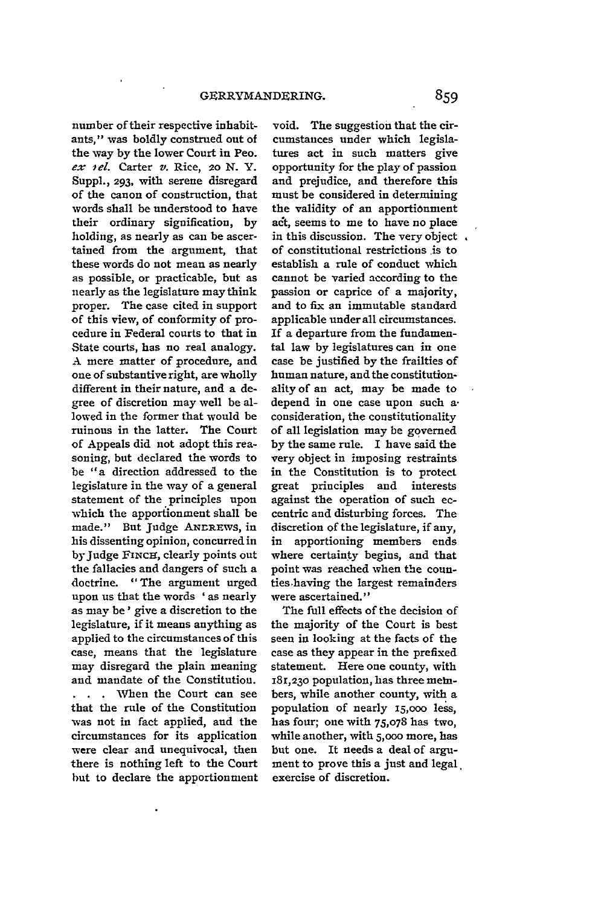number of their respective inhabitants," was boldly construed out of the way **by** the lower Court in Peo. *ex iel.* Carter *v.* Rice, **2o N. Y. SuppI., 293,** with serene disregard of the canon of construction, that words shall be understood to have their ordinary signification, **by** holding, as nearly as can be ascertained from the argument, that these words do not mean as nearly as possible, or practicable, but as nearly as the legislature may think proper. The case cited in support of this view, of conformity of procedure in Federal courts to that in State courts, has no real analogy. A mere matter of procedure, and one of substantive right, are wholly different in their nature, and a degree of discretion may well be allowed in the former that would be ruinous in the latter. The Court of Appeals did not adopt this reasoning, but declared the words to be "a direction addressed to the legislature in the way of a general statement of the principles upon which the apportionment shall be made." But Judge ANDREWS, in his dissenting opinion, concurred in by Judge FINCH, clearly points out the fallacies and dangers of such a doctrine. "The argument urged upon us that the words 'as nearly as may be ' give a discretion to the legislature, if it means anything as applied to the circumstances of this case, means that the legislature may disregard the plain meaning and mandate of the Constitution. When the Court can see that the rule of the Constitution was not in fact applied, and the circumstances for its application were clear and unequivocal, then there is nothing left to the Court but to declare the apportionment

void. The suggestion that the circumstances under which legislatures act in such matters give opportunity for the play of passion and prejudice, and therefore this must be considered in determining the validity of an apportionment act, seems to me to have no place in this discussion. The very object of constitutional restrictions is to establish a rule of conduct which cannot be varied according to the passion or caprice of a majority, and to fix an immutable standard applicable under all circumstances. If a departure from the fundamental law **by** legislatures can in one case be justified by the frailties of human nature, and the constitutionality of an act, may be made to depend in one case upon such aconsideration, the constitutionality of all legislation may be governed **by** the same rule. I have said the very object in imposing restraints in the Constitution is to protect great principles and interests against the operation of such eccentric and disturbing forces. The discretion of the legislature, if any, in apportioning members ends where certainty begins, and that point was reached when the counties-having the largest remainders were ascertained."

The full effects of the decision of the majority of the Court is best seen in looking at the facts of the case as they appear in the prefixed statement. Here one county, with **181,230** population, has three metnbers, while another county, with a population of nearly i5,ooo less, has four; one with 75,078 has two, while another, with **5,000** more, has but one. It needs a deal of argument to prove this a just and legal exercise of discretion.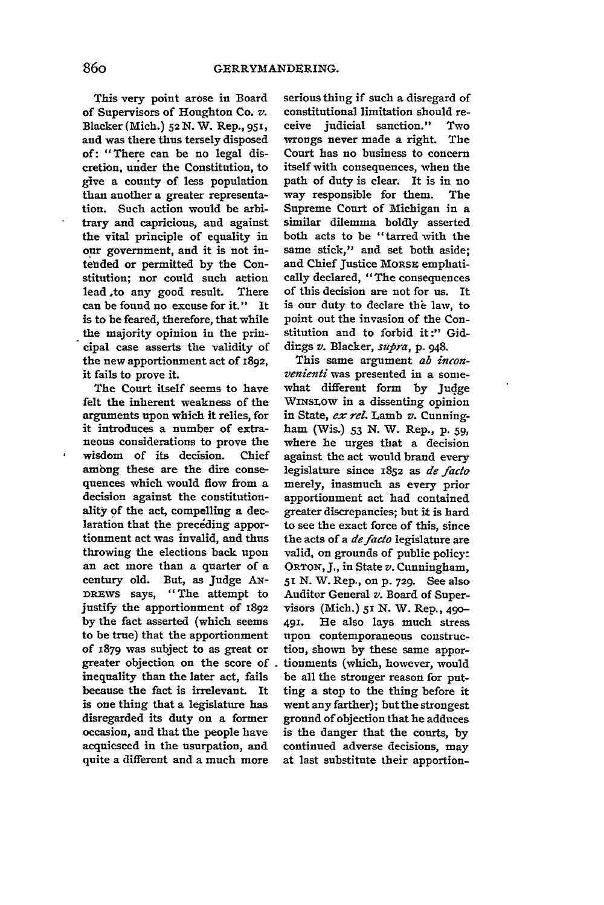This very point arose in Board of Supervisors of Houghton Co. *v.* Blacker (Mich.) **52N.** W. Rep., 951, and was there thus tersely disposed of: "There can be no legal discretion, under the Constitution, to give a county of less population than another a greater representation. Such action would be arbitrary and capricious, and against the vital principle of equality in **our** government, and it is not intended or permitted **by** the Constitution; nor could such action lead , to any good result. There can be found no excuse for it." It is to be feared, therefore, that while the majority opinion in the principal case asserts the validity of the new apportionment act **of** 1892, it fails to prove it.

The Court itself seems to have felt the inherent weakness of the arguments upon which it relies, for it introduces a number of extraneous considerations to prove the wisdom of its decision. Chief ambng these are the dire consequences which would flow from a decision against the constitutionality **of** the act, compelling a declaration that the preceding apportionment act was invalid, and thus throwing the elections back upon an act more than a quarter of a century old. But, as Judge **AN-**DREWS says, "The attempt to justify the apportionment **of 1892 by** the fact asserted (which seems to be true) that the apportionment of 1879 was subject to as great or greater objection on the score of inequality than the later act, fails because the fact is irrelevant. It is one thing that a legislature has disregarded its duty on a former occasion, and that the people have acquiesced in the usurpation, and quite a different and a much more

serious thing if such a disregard of constitutional limitation should receive judicial sanction." Two wrongs never made a right. The Court has no business to concern itself with consequences, when the path of duty is clear. It is in no way responsible for them. The Supreme Court of Michigan in a similar dilemma boldly asserted both acts to be "tarred with the same stick," and set both aside; and Chief Justice MORSE emphatically declared, "The consequences of this decision are not for us. It is our duty to declare the law, to point out the invasion of the Constitution and to forbid it:" Giddings *v.* Blacker, *sufira,* **p.** 948.

This same argument *ab inconvenienti* was presented in a somewhat different form **by** Judge WINSLOW in a dissenting opinion in State, ex rel. Lamb *v.* Cunningham (Wis.) **53 N.** W. Rep., **p. 59,** where he urges that a decision against the act would brand every legislature since 1852 as *de facto* merely, inasmuch as every prior apportionment act had contained greater discrepancies; but it is hard to see the exact force of this, since the acts of a *defacto* legislature are valid, on grounds of public policy: ORTON, **J.,** in State *v.* Cunningham, 51 N. W. Rep., on p. **729.** See also Auditor General *v.* Board of Supervisors (Mich.) **51** N. W. Rep., **490-** 491. He also lays much stress upon contemporaneous construction, shown **by** these same apportionments (which, however, would be all the stronger reason for putting a stop to the thing before it went any farther); but the strongest ground of objection that he adduces is the danger that the courts, by continued adverse decisions, may at last substitute their apportion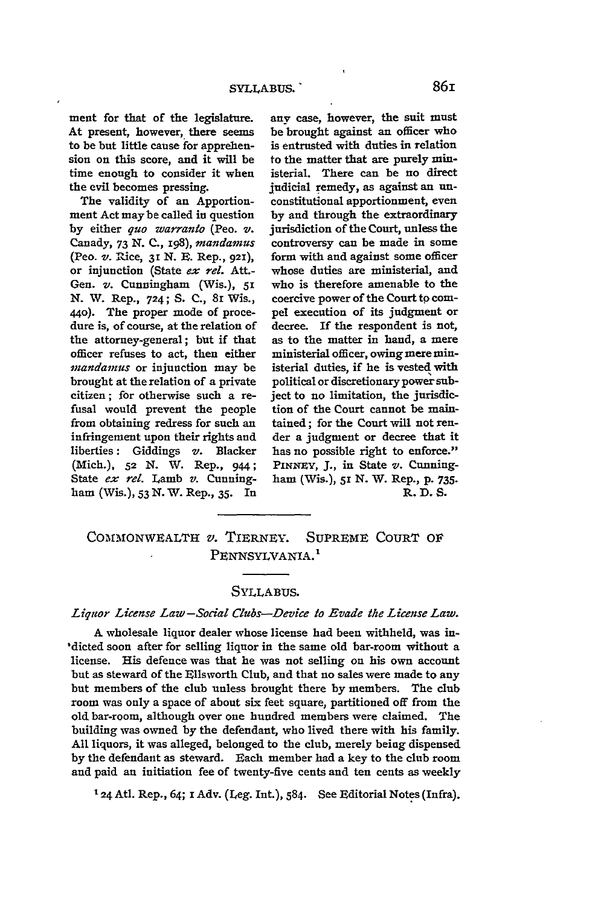ment for that of the legislature. At present, however, there seems to be but little cause **for** apprehension on this score, and it will be time enough to consider it when the evil becomes pressing.

The validity of an Apportionment Act maybe called in question **by** either *quo warranto* (Peo. v. Canady, 73 **N. C.,** 198), *mandamus* (Peo. v. R.ice, **31 N. E.** Rep., **921),** or injunction (State *ex rel.* Att.- Gen. v. Cunningham (Wis.), *51* **N.** W. Rep., **724; S. C.,** 81 **Wis.,** 44o). The proper mode of procedure is, of course, at the relation of the attorney-general; but if that officer refuses to act, then either *mandamus* or injunction may be brought at the relation of a private citizen; for otherwise such a refusal would prevent the people from obtaining redress for such an infringement upon their rights and liberties **:** Giddings v. Blacker (Mich.). **52 N.** W. Rep., 944; State *ex rel.* Lamb *v.* Cunningham (Wis.), **<sup>5</sup> <sup>3</sup>** N. W. Rep., **35.** In any case, however, the suit must be brought against an officer who is entrusted with duties in relation to the matter that are purely ministerial. There can be no direct judicial remedy, as against an unconstitutional apportionment, even **by** and through the extraordinary jurisdiction of the Court, unless the controversy can be made in some form with and against some officer whose duties are ministerial, and who is therefore amenable to the coercive power of the Court to compel execution of its judgment or decree. **If** the respondent is not, as to the matter in hand, a mere ministerial officer, owing mere ministerial duties, if he is vested with political or discretionary power subject to no limitation, the jurisdiction of the Court cannot be maintained; for the Court will not render a judgment or decree that it has no possible right to enforce." PINNEY, J., in State v. Cunningham (Wis.), **51 N.** W. Rep., **p. 735-** R. **D. S.**

## **COMMONWEALTH** *v.* TIERNEY. SUPREME **COURT** OF PENNSYLVANIA.<sup>1</sup>

#### SYLLABUS.

### *Liquor License Law -Social Clubs-Device to Evade the License Law.*

**A** wholesale liquor dealer whose license had been withheld, was in- 'dicted soon after for selling liquor in the same old bar-room without a license. His defence was that he was not selling on his own account but as steward of the Ellsworth Club, and that no sales were made to any but members of the **club** unless brought there **by** members. The club room was only a space of about six feet square, partitioned off from the old bar-room, although over one hundred members were claimed. The building was owned **by** the defendant, who lived there with his family. **All** liquors, it was alleged, belonged to the club, merely being dispensed **by** the defendant as steward. Each member had a key to the club room and paid an initiation fee of twenty-five cents and ten cents as weekly

**24** AtI. Rep., 64; **i** Adv. (Leg. Int.), 584. See Editorial Notes (Infra).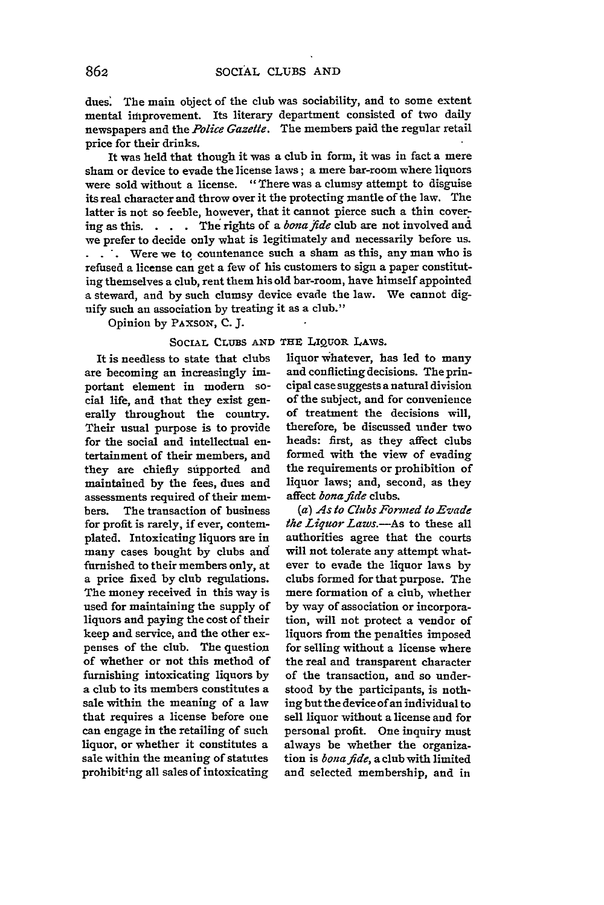dues: The main object of the club was sociability, and to some extent mental improvement. Its literary department consisted of two daily newspapers and the *Police Gazelle.* The members paid the regular retail price for their drinks.

It was held that though it was a club in form, it was in fact a mere sham or device to evade the license laws; a mere bar-room where liquors were sold without a license. "There was a clumsy attempt to disguise its real character and throw over it the protecting mantle of the law. The latter is not so feeble, however, that it cannot pierce such a thin covering as this. . . . The rights of a *bona fide* club are not involved and we prefer to decide only what is legitimately and necessarily before us. Were we to countenance such a sham as this, any man who is refused a license can get a few of his customers to sign a paper constituting themselves a club, rent them his old bar-room, have himself appointed a steward, and by such clumsy device evade the law. We cannot dignify such an association by treating it as a club."

Opinion by PAxsON, C. J.

#### SOCIAL CLUBS AND THE LIQUOR LAWS.

It is needless to state that clubs are becoming an increasingly important element in modern social life, and that they exist generally throughout the country. Their usual purpose is to provide for the social and intellectual entertainment of their members, and they are chiefly supported and maintained by the fees, dues and assessments required of their members. The transaction of business for profit is rarely, if ever, contemplated. Intoxicating liquors are in many cases bought by clubs and furnished to their members only, at a price fixed by club regulations. The money received in this way is used for maintaining the supply of liquors and paying the cost of their keep and service, and the other expenses of the club. The question of whether or not this method of furnishing intoxicating liquors by a club to its members constitutes a sale within the meaning of a law that requires a license before one can engage in the retailing of such liquor, or whether it constitutes a sale within the meaning of statutes prohibiting all sales of intoxicating

liquor whatever, has led to many and conflicting decisions. The principal case suggests a natural division of the subject, and for convenience of treatment the decisions will, therefore, be discussed under two heads: first, as they affect clubs formed with the view of evading the requirements or prohibition of liquor laws; and, second, as they affect *bonafide* clubs.

*(a) A s to Clubs Formed to Evade the Liquor Laws.-As* to these all authorities agree that the courts will not tolerate any attempt whatever to evade the liquor laws by clubs formed for that purpose. The mere formation of a club, whether **by** way of association or incorporation, will not protect a vendor of liquors from the penalties imposed for selling without a license where the real and transparent character of the transaction, and so understood by the participants, is nothing but the device of an individual to sell liquor without a license and for personal profit. One inquiry must always be whether the organization is *bonafide,* a club with limited and selected membership, and in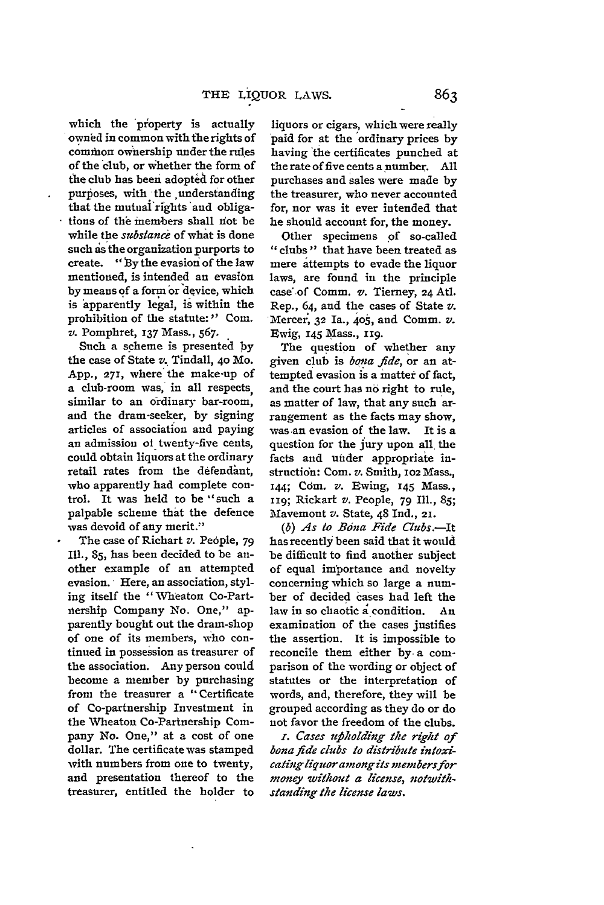which the property is actually owned in common with the rights of common ownership under the rules of the club, or whether the form of the club has been adopted for other purposes, with the understanding that the mutual'rights 'and obligations of the members shall not be while the *substance* of what is done such as the organization purports to create. "By the evasion of the law mentioned, is intended an evasion **by** means of a form or device, which is 'apparently legal, is within the prohibition of the statute:" Com. *v.* Pomphret, **137** Mass., 567.

Such a scheme is presented by the case of State *v.* Tindall, **4o** Mo. App., **271,** where the make-up of a dub-room was, in all respects, similar to an ordinary bar-room, and the dram-seeker, by signing articles of association and paying an admission **of** twenty-five cents, could obtain liquors at the ordinary retail rates from the defendant, who apparently had complete control. It was held to be "such a palpable scheme that the defence was devoid of any merit."

The case of Richart *v.* People, 79 **Ill., 85,** has been decided to be another example of an attempted evasion.' Here, an association, styling itself the "Wheaton Co-Partnership Company No. One," apparently bought out the dram-shop of one of its members, **who** continued in possession as treasurer of the association. Any person could become a member by purchasing from the treasurer a "Certificate of Co-partnership Investment in the Wheaton Co-Partnership Company No. One," at a cost of one dollar. The certificate was stamped with numbers from one to twenty, and presentation thereof to the treasurer, entitled the holder to

liquors or cigars, which were really paid for at the ordinary prices by having the certificates punched at the rate of five cents a number. **All** purchases and sales were made by the treasurer, who never accounted for, nor was it ever intended that he should account for, the money.

Other specimens of so-called "clubs" that have been treated as mere attempts to evade the liquor laws, are found in the principle case'of Comm. v. Tierney, **24** Atl. Rep., 64, and the cases of State *v.* Mercer, **32** Ia., 4o5, and Comm. *v.* Ewig, **145** Mass., **119.**

The question of whether any given club is *bona fide*, or an attempted evasion is a matter of fact, and the court has no right to rule, as matter of law, that any such arrangement as the facts may show, was an evasion of the law. It is a question for the jury upon all the facts and under appropriate instructidn: Com. *v.* Smith, **102** Mass., **144;** Com. *v.* Ewing, **145** Mass., **ii9;** Rickart *v.* People, 79 Ill., **85;** Mavemont *v.* State, 48 Ind., **21.**

*(b) As to Bona Fide Clubs.-It* has recently been said that it would be difficult to find another subject of equal importance and novelty concerning which so large a number of decided cases had left the law in so chaotic a condition. An examination of the cases justifies the assertion. It is impossible to reconcile them either by a comparison of the wording or object of statutes or the interpretation of words, and, therefore, they will be grouped according as they do or do not favor the freedom of the clubs.

*r. Cases ufholding the right of bona fide clubs to distribute intoxicating liquoramongits ;nembersfor money without a license, notwithstanding the license laws.*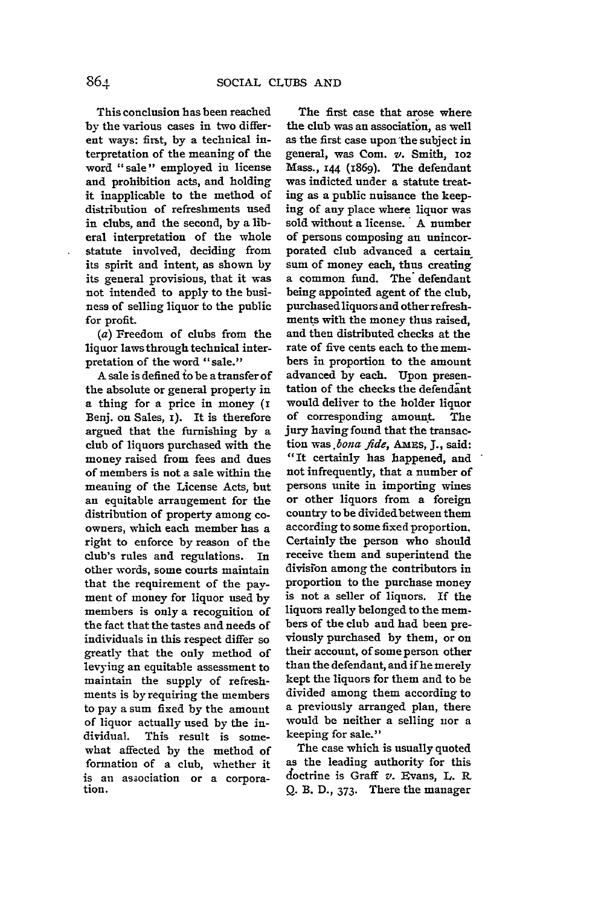This conclusion has been reached by the various cases in two different ways: first, by a technical interpretation of the meaning of the word "sale" employed in license and prohibition acts, and holding it inapplicable to the method of distribution of refreshments used in clubs, and the second, by a liberal interpretation of the whole statute involved, deciding from its spirit and intent, as shown by its general provisions, that it was not intended to apply to the business of selling liquor to the public for profit.

(a) Freedom of clubs from the liquor laws through technical interpretation of the word "sale."

A sale is defined io be a transfer of the absolute or general property in a thing for a price in money (I Benj. on Sales, i). It is therefore argued that the furnishing by a club of liquors purchased with the money raised from fees and dues of members is not a sale within the meauing of the License Acts, but an equitable arrangement for the distribution of property among coowners, which each member has a right to enforce by reason of the club's rules and regulations. In other words, some courts maintain that the requirement of the payment of money for liquor used by members is only a recognition of the fact that the tastes and needs of individuals in this respect differ so greatly that the only method of levying an equitable assessment to maintain the **supply** of refreshments is by requiring the members to pay a sum fixed by the amount of liquor actually used by the individual. This result is somewhat affected by the method of formation of a club, whether it is an association or a corporation.

The first case that arose where the club was an association, as well as the first case upon the subject in general, was Com. v. Smith, **102** Mass., 144 (1869). The defendant was indicted under a statute treating as a public nuisance the keeping of **any** place whefe liquor was sold without a license. A number of persons composing an unincorporated club advanced a certain sum of money each, thus creating a common fund. The defendant being appointed agent of the club, purchased liquors and other refreshments with the money thus raised, and then distributed checks at the rate of five cents each to the members in proportion to the amount advanced **by** each. Upon presentation of the checks the defendint would deliver to the holder liquor of corresponding amount. The jury having found that the transaction was *,bona fide*, AMES, J., said: "It certainly has happened, and not infrequently, that a number of persons unite in importing wines or other liquors from a foreign country to be dividedbetween them according to some fixed proportion. Certainly the person who should receive them and superintend the division among the contributors in proportion to the purchase money is not a seller of liquors. If the liquors really belonged to the members of the club and had been previously purchased by them, or on their account, of some person other than the defendant, and if he merely kept the liquors for them and to be divided among them according to a previously arranged plan, there would be neither a selling nor a keeping for sale."

The case which is usually quoted as the leading authority for this doctrine is Graff *v*. Evans, L. R. **Q.** B. **D., 373.** There the manager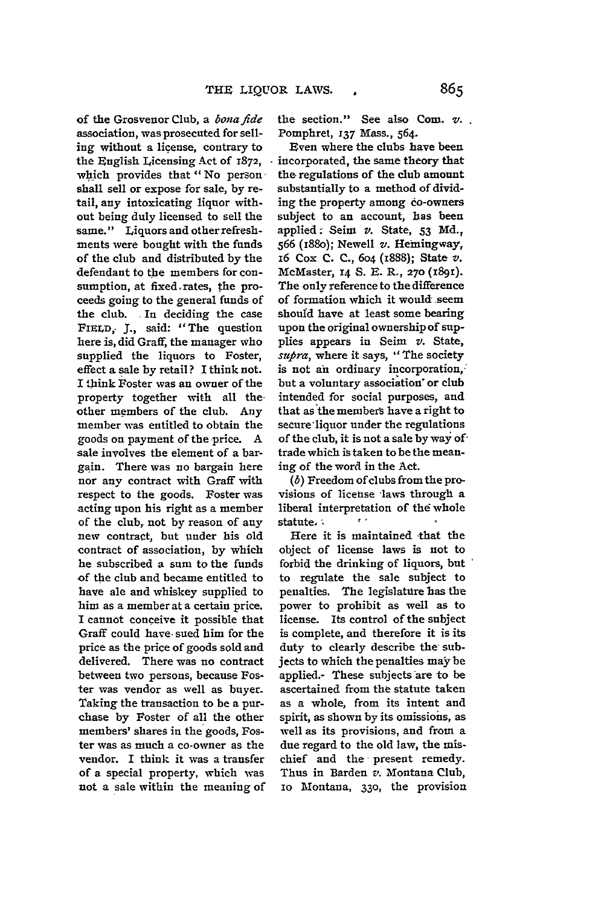of the Grosvenor Club, a *bonafide* association, was prosecuted for selling without a license, contrary to the English Licensing Act of **1872,** which provides that "No person shall sell or expose for sale, **by** retail, any intoxicating liquor without being duly licensed to sell the same." Liquors and other refreshments were bought with the funds of the club and distributed **by** the defendant to the members for consumption, at fixed. rates, the proceeds going to the general funds of the club. In deciding the case FIELD, J., said: "The question here is, did Graff, the manager who supplied the liquors to Foster, effect a sale **by** retail? I think not. I ihink Foster was an owner of the property together with all theother members of the club. Any member was entitled to obtain the goods on payment of the price. **A** sale involves the element of a bargain. There was no bargain here nor any contract with Graff with respect to the goods. Foster was acting upon his right as a member of the club, not **by** reason of any new contract, but under his old contract of association, **by** which he subscribed a sum to the funds of the club and became entitled to have ale and whiskey supplied to him as a member at a certain price. I cannot conceive it possible that Graff could have. sued him for the price as the price of goods sold and delivered. There was no contract between two persons, because Foster was vendor as well as buyer. Taking the transaction to be a purchase **by** Foster of all the other members' shares in the goods, Foster was as much a co-owner as the vendor. I think it was a transfer of a special property, which was not a sale within the meaning of the section." See also Com. v. Pomphret, **137** Mass., 564.

Even where the clubs have been incorporated, the same theory that the regulations of the club amount substantially to a method of dividing the property among co-owners subject to an account, has been applied **-** Seim *v.* State, **53 Md.,** 566 (1880); Newell  $v$ . Hemingway, I6 Cox **C. C.,** 6o4 (1888); State *v.* McMaster, **14 S. E.** R., **270** (1891). The only reference to the difference of formation which it would seem should have at least some bearing upon the original ownership of supplies appears in Seim *v.* State, *supra,* where it says, "The society is not an ordinary incorporation, but a voluntary association' or club intended for social purposes, and that as the members have a right to secure'liquor under the regulations of the club, it is not a sale **by** way oftrade which is taken to be the meaning of the word in the Act.

**(b)** Freedom of clubs from the provisions of license laws through a liberal interpretation of the whole statute.

Here it is maintained that the object of license laws is not to forbid the drinking of liquors, but to regulate the sale subject to penalties. The legislature has the power to prohibit as well as to license. Its control of the subject is complete, and therefore it is its duty to clearly describe the subjects to which the penalties may be applied.- These subjects are to be ascertained from the statute taken as a whole, from its intent and spirit, as shown by its omissions, as well as its provisions, and from a due regard to the old law, the mischief and the present remedy. Thus in Barden *v.* Montana Club, io Montana, **330,** the provision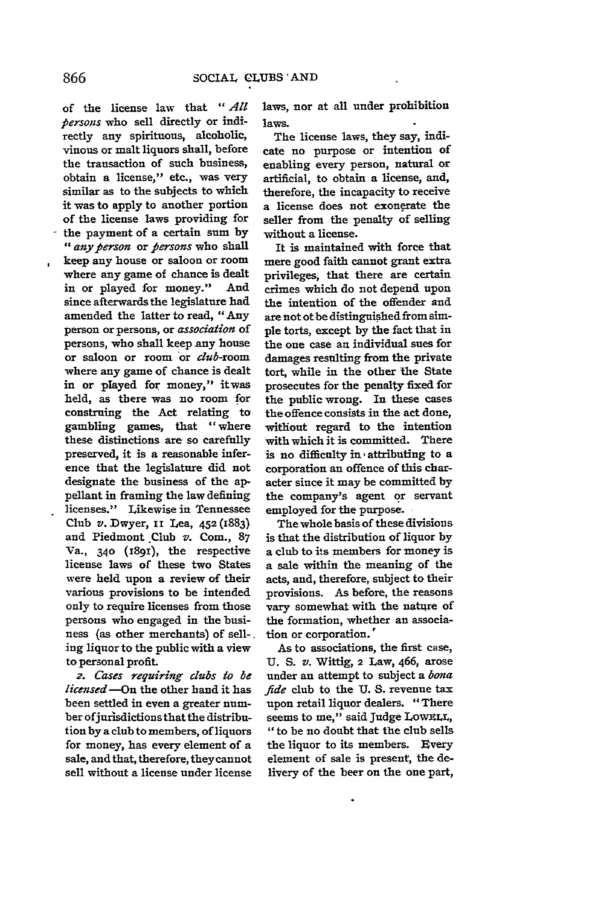of the license law that *"All persons* who sell directly or indirectly any spirituous, alcoholic, vinous or malt liquors shall, before the transaction of such business, obtain a license," etc., was very similar as to the subjects to which it was to apply to another portion of the license laws providing for the payment of a certain sum **by** *"anyperson* or *persons* who shall keep any house or saloon or room where any game of chance is dealt in or played for money." And since afterwards the legislature had amended the latter to read, **"Any** person or persons, or *association* of persons, who shall keep any house or saloon or room 'or dub-room where any game of chance is dealt in or played for money," itwas held, as there was no room for construing the Act relating to gambling games, that "where these distinctions are so carefully preserved, it is a reasonable inference that the legislature did not designate the business of the appellant in framing the law defining licenses." Likewise in Tennessee Club v. Dwyer, ii Lea, 452 (1883) and Piedmont Club v. Com., 87 Va., 340 (1891), the respective license laws of these two States were held upon a review of their various provisions to be intended only to require licenses from those persons who engaged in the business (as other merchants) of sell-. ing liquor to the public with a view to personal profit.

**2.** *Cases requiring dubs to be licensed--On* the other hand it has been settled in even a greater number ofjurisdictions that the distribution by a club to members, of liquors for money, has every element of a sale, and that, therefore, they cannot sell without a license under license

laws, nor at all under prohibition laws.

The license laws, they say, indicate no purpose or intention of enabling every person, natural or artificial, to obtain a license, and, therefore, the incapacity to receive a license does not exonerate the seller from the penalty of selling without a license.

It is maintained with force that mere good faith cannot grant extra privileges, that there are certain crimes which do not depend upon the intention of the offender and are not otbe distinguished from simple torts, except **by** the fact that in the one case an individual sues for damages resulting from the private tort, while in the other the State prosecutes for the penalty fixed for the public wrong. **In** these cases the offence consists in the act done, without regard to the intention with which it is committed. There is no difficulty **in,** attributing to a corporation an offence of this character since it may be committed **by** the company's agent or servant employed for the purpose.

The whole basis of these divisions is that the distribution of liquor **by a** club to its members for money is a sale within the meaning of the acts, and, therefore, subject to their provisions. As before, the reasons vary somewhat with the nature of the formation, whether an association or corporation.'

As to associations, the first case, **U. S.** *v.* Wittig, **2** Law, 466, arose under an attempt to subject a *bona fide* club to the **U. S.** revenue tax upon retail liquor dealers. "There seems to me," said Judge LowELL, "to be no doubt that the club sells the liquor to its members. Fvery element of sale is present, the delivery of the beer on the one part,